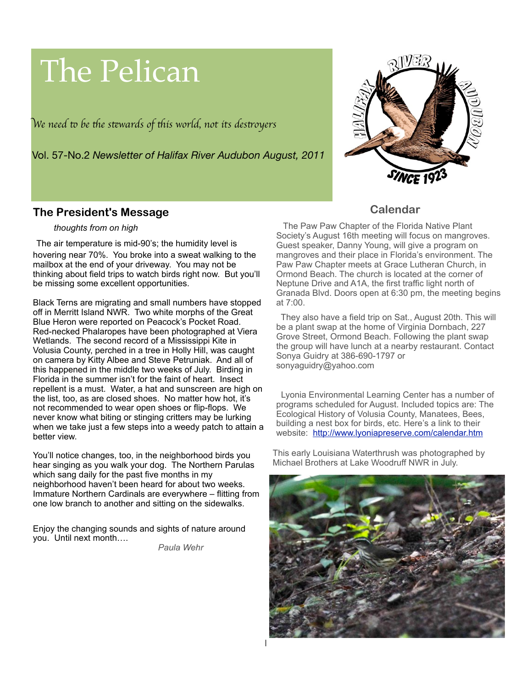# The Pelican

W*e need* " *be* #*e s*\$*wards of* #*is world, not its des*%*oyer*s



Vol. 57-No.2 *Newsletter of Halifax River Audubon August, 2011*

## **The President's Message**

#### *thoughts from on high*

The air temperature is mid-90's; the humidity level is hovering near 70%. You broke into a sweat walking to the mailbox at the end of your driveway. You may not be thinking about field trips to watch birds right now. But you'll be missing some excellent opportunities.

Black Terns are migrating and small numbers have stopped off in Merritt Island NWR. Two white morphs of the Great Blue Heron were reported on Peacock's Pocket Road. Red-necked Phalaropes have been photographed at Viera Wetlands. The second record of a Mississippi Kite in Volusia County, perched in a tree in Holly Hill, was caught on camera by Kitty Albee and Steve Petruniak. And all of this happened in the middle two weeks of July. Birding in Florida in the summer isn't for the faint of heart. Insect repellent is a must. Water, a hat and sunscreen are high on the list, too, as are closed shoes. No matter how hot, it's not recommended to wear open shoes or flip-flops. We never know what biting or stinging critters may be lurking when we take just a few steps into a weedy patch to attain a better view.

You'll notice changes, too, in the neighborhood birds you hear singing as you walk your dog. The Northern Parulas which sang daily for the past five months in my neighborhood haven't been heard for about two weeks. Immature Northern Cardinals are everywhere – flitting from one low branch to another and sitting on the sidewalks.

Enjoy the changing sounds and sights of nature around you. Until next month….

*Paula Wehr*

## **Calendar**

 The Paw Paw Chapter of the Florida Native Plant Society's August 16th meeting will focus on mangroves. Guest speaker, Danny Young, will give a program on mangroves and their place in Florida's environment. The Paw Paw Chapter meets at Grace Lutheran Church, in Ormond Beach. The church is located at the corner of Neptune Drive and A1A, the first traffic light north of Granada Blvd. Doors open at 6:30 pm, the meeting begins at 7:00.

 They also have a field trip on Sat., August 20th. This will be a plant swap at the home of Virginia Dornbach, 227 Grove Street, Ormond Beach. Following the plant swap the group will have lunch at a nearby restaurant. Contact Sonya Guidry at 386-690-1797 or sonyaguidry@yahoo.com

 Lyonia Environmental Learning Center has a number of programs scheduled for August. Included topics are: The Ecological History of Volusia County, Manatees, Bees, building a nest box for birds, etc. Here's a link to their website: <http://www.lyoniapreserve.com/calendar.htm>

This early Louisiana Waterthrush was photographed by Michael Brothers at Lake Woodruff NWR in July.

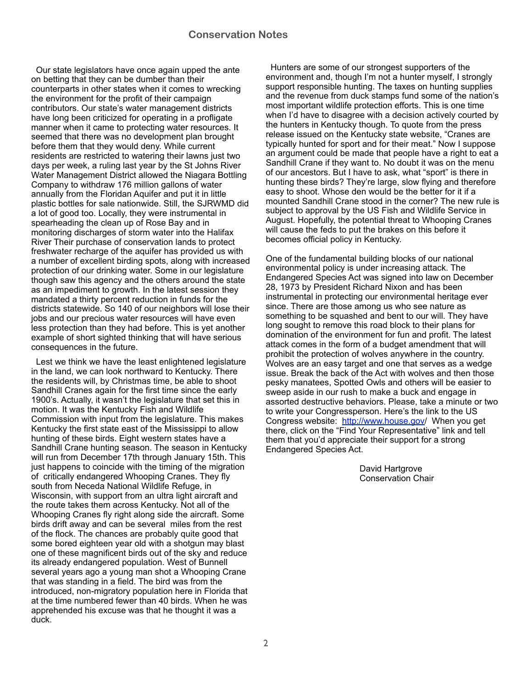Our state legislators have once again upped the ante on betting that they can be dumber than their counterparts in other states when it comes to wrecking the environment for the profit of their campaign contributors. Our state's water management districts have long been criticized for operating in a profligate manner when it came to protecting water resources. It seemed that there was no development plan brought before them that they would deny. While current residents are restricted to watering their lawns just two days per week, a ruling last year by the St Johns River Water Management District allowed the Niagara Bottling Company to withdraw 176 million gallons of water annually from the Floridan Aquifer and put it in little plastic bottles for sale nationwide. Still, the SJRWMD did a lot of good too. Locally, they were instrumental in spearheading the clean up of Rose Bay and in monitoring discharges of storm water into the Halifax River Their purchase of conservation lands to protect freshwater recharge of the aquifer has provided us with a number of excellent birding spots, along with increased protection of our drinking water. Some in our legislature though saw this agency and the others around the state as an impediment to growth. In the latest session they mandated a thirty percent reduction in funds for the districts statewide. So 140 of our neighbors will lose their jobs and our precious water resources will have even less protection than they had before. This is yet another example of short sighted thinking that will have serious consequences in the future.

 Lest we think we have the least enlightened legislature in the land, we can look northward to Kentucky. There the residents will, by Christmas time, be able to shoot Sandhill Cranes again for the first time since the early 1900's. Actually, it wasn't the legislature that set this in motion. It was the Kentucky Fish and Wildlife Commission with input from the legislature. This makes Kentucky the first state east of the Mississippi to allow hunting of these birds. Eight western states have a Sandhill Crane hunting season. The season in Kentucky will run from December 17th through January 15th. This just happens to coincide with the timing of the migration of critically endangered Whooping Cranes. They fly south from Neceda National Wildlife Refuge, in Wisconsin, with support from an ultra light aircraft and the route takes them across Kentucky. Not all of the Whooping Cranes fly right along side the aircraft. Some birds drift away and can be several miles from the rest of the flock. The chances are probably quite good that some bored eighteen year old with a shotgun may blast one of these magnificent birds out of the sky and reduce its already endangered population. West of Bunnell several years ago a young man shot a Whooping Crane that was standing in a field. The bird was from the introduced, non-migratory population here in Florida that at the time numbered fewer than 40 birds. When he was apprehended his excuse was that he thought it was a duck.

 Hunters are some of our strongest supporters of the environment and, though I'm not a hunter myself, I strongly support responsible hunting. The taxes on hunting supplies and the revenue from duck stamps fund some of the nation's most important wildlife protection efforts. This is one time when I'd have to disagree with a decision actively courted by the hunters in Kentucky though. To quote from the press release issued on the Kentucky state website, "Cranes are typically hunted for sport and for their meat." Now I suppose an argument could be made that people have a right to eat a Sandhill Crane if they want to. No doubt it was on the menu of our ancestors. But I have to ask, what "sport" is there in hunting these birds? They're large, slow flying and therefore easy to shoot. Whose den would be the better for it if a mounted Sandhill Crane stood in the corner? The new rule is subject to approval by the US Fish and Wildlife Service in August. Hopefully, the potential threat to Whooping Cranes will cause the feds to put the brakes on this before it becomes official policy in Kentucky.

One of the fundamental building blocks of our national environmental policy is under increasing attack. The Endangered Species Act was signed into law on December 28, 1973 by President Richard Nixon and has been instrumental in protecting our environmental heritage ever since. There are those among us who see nature as something to be squashed and bent to our will. They have long sought to remove this road block to their plans for domination of the environment for fun and profit. The latest attack comes in the form of a budget amendment that will prohibit the protection of wolves anywhere in the country. Wolves are an easy target and one that serves as a wedge issue. Break the back of the Act with wolves and then those pesky manatees, Spotted Owls and others will be easier to sweep aside in our rush to make a buck and engage in assorted destructive behaviors. Please, take a minute or two to write your Congressperson. Here's the link to the US Congress website: [http://www.house.gov/](http://www.house.gov) When you get there, click on the "Find Your Representative" link and tell them that you'd appreciate their support for a strong Endangered Species Act.

> David Hartgrove Conservation Chair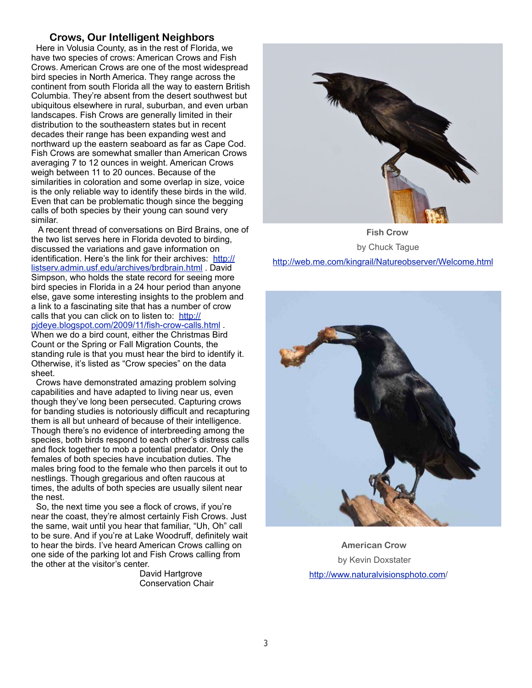#### **Crows, Our Intelligent Neighbors**

 Here in Volusia County, as in the rest of Florida, we have two species of crows: American Crows and Fish Crows. American Crows are one of the most widespread bird species in North America. They range across the continent from south Florida all the way to eastern British Columbia. They're absent from the desert southwest but ubiquitous elsewhere in rural, suburban, and even urban landscapes. Fish Crows are generally limited in their distribution to the southeastern states but in recent decades their range has been expanding west and northward up the eastern seaboard as far as Cape Cod. Fish Crows are somewhat smaller than American Crows averaging 7 to 12 ounces in weight. American Crows weigh between 11 to 20 ounces. Because of the similarities in coloration and some overlap in size, voice is the only reliable way to identify these birds in the wild. Even that can be problematic though since the begging calls of both species by their young can sound very similar.

 A recent thread of conversations on Bird Brains, one of the two list serves here in Florida devoted to birding, discussed the variations and gave information on identification. Here's the link for their archives: [http://](http://listserv.admin.usf.edu/archives/brdbrain.html) [listserv.admin.usf.edu/archives/brdbrain.html](http://listserv.admin.usf.edu/archives/brdbrain.html) . David Simpson, who holds the state record for seeing more bird species in Florida in a 24 hour period than anyone else, gave some interesting insights to the problem and a link to a fascinating site that has a number of crow calls that you can click on to listen to: [http://](http://pjdeye.blogspot.com/2009/11/fish-crow-calls.html) [pjdeye.blogspot.com/2009/11/fish-crow-calls.html](http://pjdeye.blogspot.com/2009/11/fish-crow-calls.html) . When we do a bird count, either the Christmas Bird Count or the Spring or Fall Migration Counts, the standing rule is that you must hear the bird to identify it. Otherwise, it's listed as "Crow species" on the data sheet.

 Crows have demonstrated amazing problem solving capabilities and have adapted to living near us, even though they've long been persecuted. Capturing crows for banding studies is notoriously difficult and recapturing them is all but unheard of because of their intelligence. Though there's no evidence of interbreeding among the species, both birds respond to each other's distress calls and flock together to mob a potential predator. Only the females of both species have incubation duties. The males bring food to the female who then parcels it out to nestlings. Though gregarious and often raucous at times, the adults of both species are usually silent near the nest.

 So, the next time you see a flock of crows, if you're near the coast, they're almost certainly Fish Crows. Just the same, wait until you hear that familiar, "Uh, Oh" call to be sure. And if you're at Lake Woodruff, definitely wait to hear the birds. I've heard American Crows calling on one side of the parking lot and Fish Crows calling from the other at the visitor's center.

David Hartgrove Conservation Chair



 **Fish Crow** by Chuck Tague <http://web.me.com/kingrail/Natureobserver/Welcome.html>



 **American Crow** by Kevin Doxstater [http://www.naturalvisionsphoto.com/](http://www.naturalvisionsphoto.com)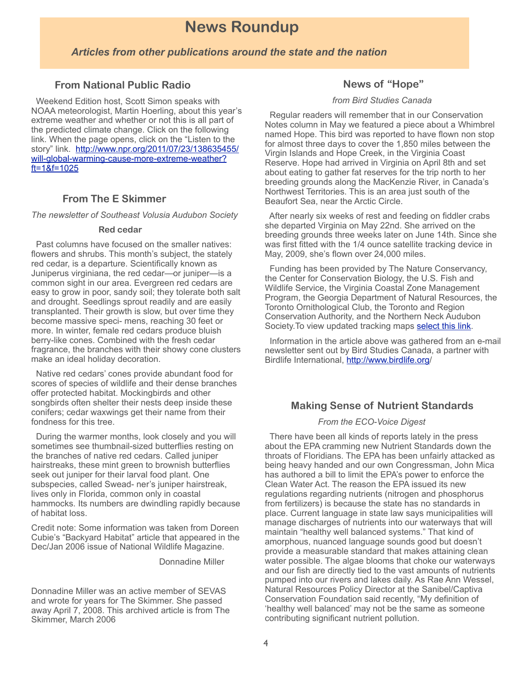## **News Roundup**

#### *Articles from other publications around the state and the nation*

#### **From National Public Radio**

 Weekend Edition host, Scott Simon speaks with NOAA meteorologist, Martin Hoerling, about this year's extreme weather and whether or not this is all part of the predicted climate change. Click on the following link. When the page opens, click on the "Listen to the story" link. [http://www.npr.org/2011/07/23/138635455/](http://www.npr.org/2011/07/23/138635455/will-global-warming-cause-more-extreme-weather?ft=1&f=1025) [will-global-warming-cause-more-extreme-weather?](http://www.npr.org/2011/07/23/138635455/will-global-warming-cause-more-extreme-weather?ft=1&f=1025)  $ft = 18f = 1025$ 

#### **From The E Skimmer**

*The newsletter of Southeast Volusia Audubon Society*

#### **Red cedar**

 Past columns have focused on the smaller natives: flowers and shrubs. This month's subject, the stately red cedar, is a departure. Scientifically known as Juniperus virginiana, the red cedar—or juniper—is a common sight in our area. Evergreen red cedars are easy to grow in poor, sandy soil; they tolerate both salt and drought. Seedlings sprout readily and are easily transplanted. Their growth is slow, but over time they become massive speci- mens, reaching 30 feet or more. In winter, female red cedars produce bluish berry-like cones. Combined with the fresh cedar fragrance, the branches with their showy cone clusters make an ideal holiday decoration.

 Native red cedars' cones provide abundant food for scores of species of wildlife and their dense branches offer protected habitat. Mockingbirds and other songbirds often shelter their nests deep inside these conifers; cedar waxwings get their name from their fondness for this tree.

 During the warmer months, look closely and you will sometimes see thumbnail-sized butterflies resting on the branches of native red cedars. Called juniper hairstreaks, these mint green to brownish butterflies seek out juniper for their larval food plant. One subspecies, called Swead- ner's juniper hairstreak, lives only in Florida, common only in coastal hammocks. Its numbers are dwindling rapidly because of habitat loss.

Credit note: Some information was taken from Doreen Cubie's "Backyard Habitat" article that appeared in the Dec/Jan 2006 issue of National Wildlife Magazine.

Donnadine Miller

Donnadine Miller was an active member of SEVAS and wrote for years for The Skimmer. She passed away April 7, 2008. This archived article is from The Skimmer, March 2006

#### **News of "Hope"**

#### *from Bird Studies Canada*

 Regular readers will remember that in our Conservation Notes column in May we featured a piece about a Whimbrel named Hope. This bird was reported to have flown non stop for almost three days to cover the 1,850 miles between the Virgin Islands and Hope Creek, in the Virginia Coast Reserve. Hope had arrived in Virginia on April 8th and set about eating to gather fat reserves for the trip north to her breeding grounds along the MacKenzie River, in Canada's Northwest Territories. This is an area just south of the Beaufort Sea, near the Arctic Circle.

 After nearly six weeks of rest and feeding on fiddler crabs she departed Virginia on May 22nd. She arrived on the breeding grounds three weeks later on June 14th. Since she was first fitted with the 1/4 ounce satellite tracking device in May, 2009, she's flown over 24,000 miles.

 Funding has been provided by The Nature Conservancy, the Center for Conservation Biology, the U.S. Fish and Wildlife Service, the Virginia Coastal Zone Management Program, the Georgia Department of Natural Resources, the Toronto Ornithological Club, the Toronto and Region Conservation Authority, and the Northern Neck Audubon Society.To view updated tracking maps [select this link.](http://www.ccb-wm.org/programs/migration/Whimbrel/whimbrel.htm)

 Information in the article above was gathered from an e-mail newsletter sent out by Bird Studies Canada, a partner with Birdlife International, [http://www.birdlife.org/](http://www.birdlife.org)

#### **Making Sense of Nutrient Standards**

#### *From the ECO-Voice Digest*

 There have been all kinds of reports lately in the press about the EPA cramming new Nutrient Standards down the throats of Floridians. The EPA has been unfairly attacked as being heavy handed and our own Congressman, John Mica has authored a bill to limit the EPA's power to enforce the Clean Water Act. The reason the EPA issued its new regulations regarding nutrients (nitrogen and phosphorus from fertilizers) is because the state has no standards in place. Current language in state law says municipalities will manage discharges of nutrients into our waterways that will maintain "healthy well balanced systems." That kind of amorphous, nuanced language sounds good but doesn't provide a measurable standard that makes attaining clean water possible. The algae blooms that choke our waterways and our fish are directly tied to the vast amounts of nutrients pumped into our rivers and lakes daily. As Rae Ann Wessel, Natural Resources Policy Director at the Sanibel/Captiva Conservation Foundation said recently, "My definition of 'healthy well balanced' may not be the same as someone contributing significant nutrient pollution.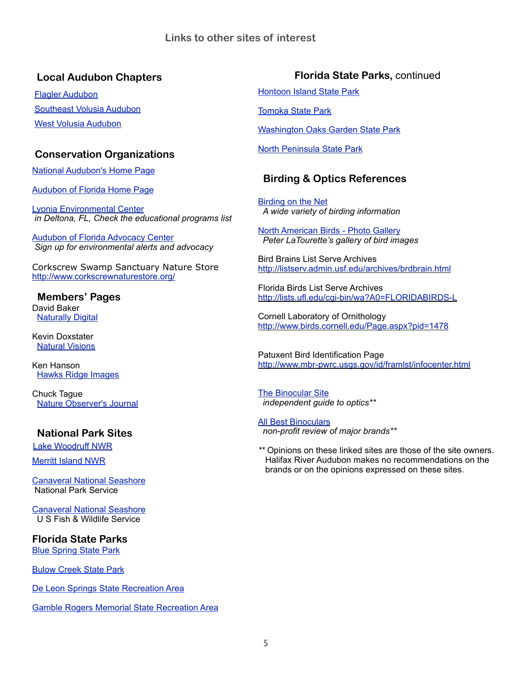## **Local Audubon Chapters**

[Flagler Audubon](http://www.flaglerlibrary.org/audubon/audubon1.htm) [Southeast Volusia Audubon](http://www.sevolusiaaudubon.org/) [West Volusia Audubon](http://www.westvolusiaaudubon.org/)

## **Conservation Organizations**

[National Audubon's Home Page](http://www.audubon.org/)

[Audubon of Florida Home Page](http://www.audubonofflorida.org/)

[Lyonia Environmental Center](http://www.lyoniapreserve.com/)   *in Deltona, FL, Check the educational programs list*

[Audubon of Florida Advocacy Center](http://audubonaction.org/florida/home.html) *Sign up for environmental alerts and advocacy*

Corkscrew Swamp Sanctuary Nature Store <http://www.corkscrewnaturestore.org/>

#### **Members' Pages** David Baker **[Naturally Digital](http://natdigital.blogspot.com/)**

Kevin Doxstater [Natural Visions](http://www.naturalvisionsphoto.com/)

Ken Hanson [Hawks Ridge Images](http://www.imageevent.com/hawksridgeimages)

Chuck Tague [Nature Observer's Journal](http://web.me.com/kingrail/Natureobserver/Welcome.html)

### **National Park Sites**

Lake Woodruff NWR

[Merritt Island NWR](http://nbbd.com/godo/minwr/index.html)

[Canaveral National Seashore](http://www.nps.gov/cana/) National Park Service

[Canaveral National Seashore](http://nbbd.com/godo/cns/index.html) U S Fish & Wildlife Service

**Florida State Parks** [Blue Spring State Park](http://www.floridastateparks.org/bluespring/)

[Bulow Creek State Park](http://www.floridastateparks.org/bulowcreek/)

[De Leon Springs State Recreation Area](http://www.floridastateparks.org/deleonsprings/)

[Gamble Rogers Memorial State Recreation Area](http://www.floridastateparks.org/gamblerogers/)

## **Florida State Parks,** continued

[Hontoon Island State Park](http://www.floridastateparks.org/hontoonisland/)

[Tomoka State Park](http://www.floridastateparks.org/tomoka/)

[Washington Oaks Garden State Park](http://www.floridastateparks.org/washingtonoaks/)

[North Peninsula State Park](http://www.floridastateparks.org/northpeninsula/default.cfm)

## **Birding & Optics References**

[Birding on the Net](http://www.birdingonthe.net/) *A wide variety of birding information*

[North American Birds - Photo Gallery](http://www.birdphotography.com/) *Peter LaTourette's gallery of bird images*

Bird Brains List Serve Archives <http://listserv.admin.usf.edu/archives/brdbrain.html>

Florida Birds List Serve Archives <http://lists.ufl.edu/cgi-bin/wa?A0=FLORIDABIRDS-L>

Cornell Laboratory of Ornithology <http://www.birds.cornell.edu/Page.aspx?pid=1478>

Patuxent Bird Identification Page <http://www.mbr-pwrc.usgs.gov/id/framlst/infocenter.html>

[The Binocular Site](http://www.thebinocularsite.com/)  *independent guide to optics\*\**

[All Best Binoculars](http://allbestbinoculars.com/) *non-profit review of major brands\*\**

*\*\** Opinions on these linked sites are those of the site owners. Halifax River Audubon makes no recommendations on the brands or on the opinions expressed on these sites.